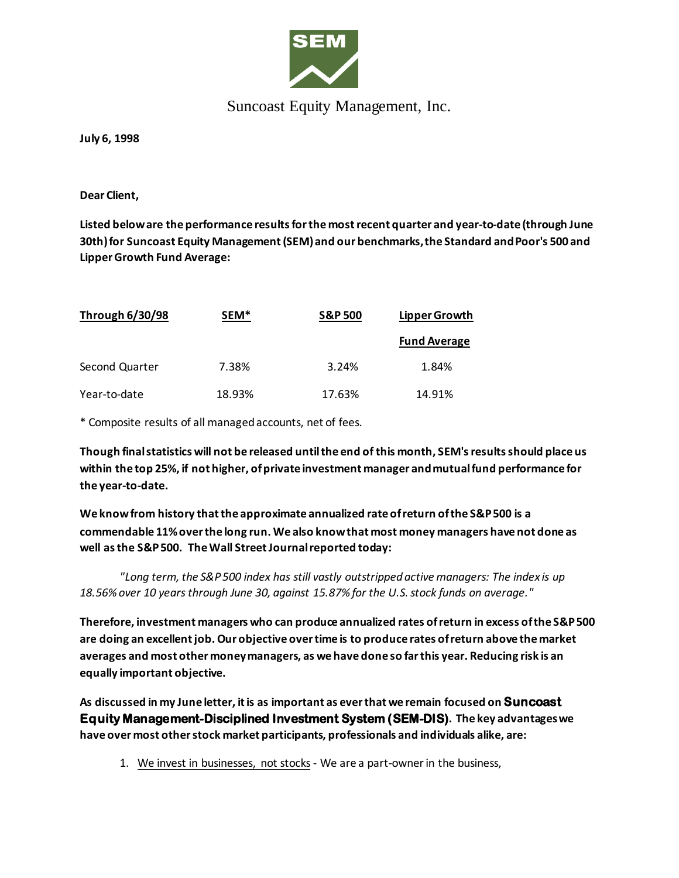

## Suncoast Equity Management, Inc.

**July 6, 1998**

**Dear Client,**

**Listed below are the performance results for the most recent quarter and year-to-date (through June 30th) for Suncoast Equity Management (SEM) and our benchmarks, the Standard and Poor's 500 and Lipper Growth Fund Average:**

| <b>Through 6/30/98</b> | SEM <sup>*</sup> | <b>S&amp;P 500</b> | Lipper Growth<br><b>Fund Average</b> |
|------------------------|------------------|--------------------|--------------------------------------|
|                        |                  |                    |                                      |
| Year-to-date           | 18.93%           | 17.63%             | 14.91%                               |

\* Composite results of all managed accounts, net of fees.

**Though final statistics will not be released until the end of this month, SEM's results should place us within the top 25%, if not higher, of private investment manager and mutual fund performance for the year-to-date.**

**We know from history that the approximate annualized rate of return of the S&P 500 is a commendable 11% over the long run. We also know that most money managers have not done as well as the S&P 500. The Wall Street Journal reported today:**

*"Long term, the S&P 500 index has still vastly outstripped active managers: The index is up 18.56% over 10 years through June 30, against 15.87% for the U.S. stock funds on average."*

**Therefore, investment managers who can produce annualized rates of return in excess of the S&P 500 are doing an excellent job. Our objective over time is to produce rates of return above the market averages and most other money managers, as we have done so far this year. Reducing risk is an equally important objective.** 

**As discussed in my June letter, itis as important as ever that we remain focused on Suncoast Equity Management-Disciplined Investment System (SEM-DIS). The key advantages we have over most other stock market participants, professionals and individuals alike, are:**

1. We invest in businesses, not stocks- We are a part-owner in the business,